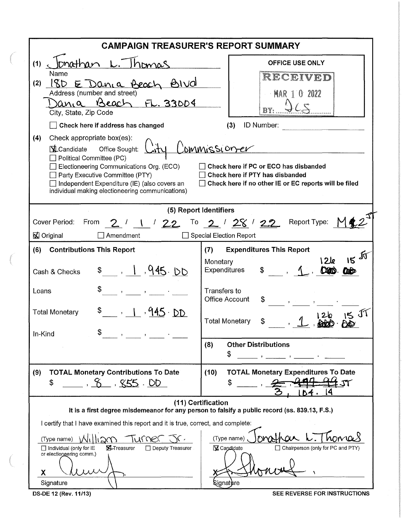| <b>CAMPAIGN TREASURER'S REPORT SUMMARY</b>                                                                                                                                                                                                                                                                                                                                                                                                                        |                                                                                   |  |  |  |  |  |  |  |
|-------------------------------------------------------------------------------------------------------------------------------------------------------------------------------------------------------------------------------------------------------------------------------------------------------------------------------------------------------------------------------------------------------------------------------------------------------------------|-----------------------------------------------------------------------------------|--|--|--|--|--|--|--|
| Ionathan <u>L. Thomas</u><br>(1)                                                                                                                                                                                                                                                                                                                                                                                                                                  | <b>OFFICE USE ONLY</b>                                                            |  |  |  |  |  |  |  |
| Name<br>180 E Dania Beach Bivol<br>(2)<br>Address (number and street)<br>Beach FL. 33004<br>ania<br>City, State, Zip Code                                                                                                                                                                                                                                                                                                                                         | RECEIVED<br><b>MAR 1 0 2022</b>                                                   |  |  |  |  |  |  |  |
| Check here if address has changed                                                                                                                                                                                                                                                                                                                                                                                                                                 | ID Number:<br>(3)                                                                 |  |  |  |  |  |  |  |
| (4)<br>Check appropriate box(es):<br>ommissioner<br>$\Delta$ Candidate<br>Office Sought:<br>$\Box$ Political Committee (PC)<br>Check here if PC or ECO has disbanded<br>Electioneering Communications Org. (ECO)<br>$\Box$ Party Executive Committee (PTY)<br>Check here if PTY has disbanded<br>$\Box$ Independent Expenditure (IE) (also covers an<br>Check here if no other IE or EC reports will be filed<br>individual making electioneering communications) |                                                                                   |  |  |  |  |  |  |  |
| (5) Report Identifiers                                                                                                                                                                                                                                                                                                                                                                                                                                            |                                                                                   |  |  |  |  |  |  |  |
| $2'$ 1 / 22 <sup>To</sup> 2 / 28 / 22<br>Cover Period:<br>From<br>⊠ Original<br>Amendment                                                                                                                                                                                                                                                                                                                                                                         | Report Type: $M$<br><b>Special Election Report</b>                                |  |  |  |  |  |  |  |
| <b>Contributions This Report</b><br>(6)                                                                                                                                                                                                                                                                                                                                                                                                                           | <b>Expenditures This Report</b><br>(7)                                            |  |  |  |  |  |  |  |
| \$ 1, 945.DD<br>Cash & Checks                                                                                                                                                                                                                                                                                                                                                                                                                                     | $15 - 15$<br>I 2le<br>Monetary<br>Expenditures<br>\$<br><b>CARD</b><br><b>COD</b> |  |  |  |  |  |  |  |
| Loans                                                                                                                                                                                                                                                                                                                                                                                                                                                             | Transfers to<br><b>Office Account</b><br>\$                                       |  |  |  |  |  |  |  |
| , 1, 945.DD<br><b>Total Monetary</b><br>In-Kind                                                                                                                                                                                                                                                                                                                                                                                                                   | -IT<br><b>Total Monetary</b>                                                      |  |  |  |  |  |  |  |
|                                                                                                                                                                                                                                                                                                                                                                                                                                                                   | (8)<br><b>Other Distributions</b><br>\$                                           |  |  |  |  |  |  |  |
| <b>TOTAL Monetary Contributions To Date</b><br>(9)<br>8.85.00<br>\$                                                                                                                                                                                                                                                                                                                                                                                               | (10)<br><b>TOTAL Monetary Expenditures To Date</b><br>S<br>04.                    |  |  |  |  |  |  |  |
| (11) Certification<br>It is a first degree misdemeanor for any person to falsify a public record (ss. 839.13, F.S.)                                                                                                                                                                                                                                                                                                                                               |                                                                                   |  |  |  |  |  |  |  |
| I certify that I have examined this report and it is true, correct, and complete:                                                                                                                                                                                                                                                                                                                                                                                 |                                                                                   |  |  |  |  |  |  |  |
| Turner<br>(Type name)<br>(Type name)<br>120<br>$\Box$ Individual (only for IE<br><b>X</b> -Treasurer<br>□ Deputy Treasurer<br>X Candidate<br>□ Chairperson (only for PC and PTY)<br>or electioneering comm.)<br>Х<br>Signature<br><b>S</b> ignat <b>)</b> ure                                                                                                                                                                                                     |                                                                                   |  |  |  |  |  |  |  |

 $\frac{1}{2}$ 

DS-DE 12 (Rev. 11/13) SEE REVERSE FOR INSTRUCTIONS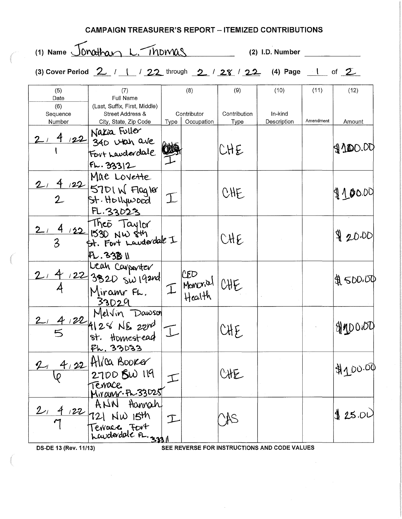|                                | (1) Name Jonathan L. Thomas                                                 |                    |                |                     | (2) I.D. Number                              |                   |                |
|--------------------------------|-----------------------------------------------------------------------------|--------------------|----------------|---------------------|----------------------------------------------|-------------------|----------------|
|                                | (3) Cover Period $2$ / 1 / 22 through $2$ / 28 / 22 (4) Page 1 of $2$       |                    |                |                     |                                              |                   |                |
| (5)<br>Date<br>(6)<br>Sequence | (7)<br>Full Name<br>(Last, Suffix, First, Middle)<br>Street Address &       | (8)<br>Contributor |                | (9)<br>Contribution | (10)<br>In-kind                              | (11)<br>Amendment | (12)<br>Amount |
| Number                         | City, State, Zip Code<br>4/22 Natia Fuller<br>1/22 340 Utah ave<br>F1.33312 | Type               | Occupation     | Type<br>CHE         | Description                                  |                   | $9$ $100.00$   |
|                                | Mae Lovette<br>$\frac{4122}{5701}$ Flagler<br>2 St. Hollywood<br>FL.33023   | I                  |                | CHE                 |                                              |                   | 4100,00        |
| 3                              | $\frac{4}{3}$ 122 IFS30 NW sth<br>3 Bt. Fort Landerdale I                   |                    |                | CHE                 |                                              |                   | 920.00         |
|                                | FL. 33B II<br>Lean Coupenter<br>122 3320 SW 19210<br>Miramr FL.<br>33029    |                    | I Monorial CHE |                     |                                              |                   | HA SOO.OO      |
| $\overline{5}$                 | 2/ 4/22 Melvin Dawson<br>st. Homestead<br><u>Fh. 33033</u>                  |                    |                | CHE                 |                                              |                   | <b>OPODDIA</b> |
|                                | 21 4/22 Allea Booker<br>2700 8W 119<br>Terrace                              |                    |                | CHE                 |                                              |                   | \$100.00       |
| 122                            | ANN Hannah<br>72 NW 15th                                                    |                    |                |                     | SEE REVERSE FOR INSTRUCTIONS AND CODE VALUES |                   | 425.01         |

 $\bar{z}$ 

CAMPAIGN TREASURER'S REPORT - ITEMIZED CONTRIBUTIONS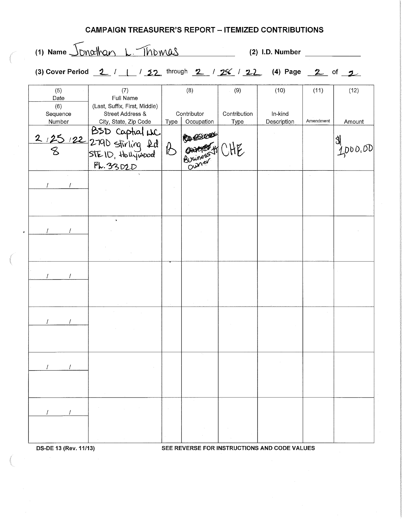## **CAMPAIGN TREASURER'S REPORT - ITEMIZED CONTRIBUTIONS**

 $(1)$  Name  $\frac{\sqrt{D}N\alpha N\alpha_1}{L}$  .  $\frac{\sqrt{D}N\alpha_2}{L}$  (2) I.D. Number **1990** 

| (3) Cover Period $2$ / 1 / 22 through $2$ / 26 / 22 (4) Page 2 of 2 |  |  |  |  |  |
|---------------------------------------------------------------------|--|--|--|--|--|

| (5)             | (7)                                                                              |          | (8)         | (9)          | (10)        | (11)      | (12)    |
|-----------------|----------------------------------------------------------------------------------|----------|-------------|--------------|-------------|-----------|---------|
| Date            | <b>Full Name</b>                                                                 |          |             |              |             |           |         |
| (6)<br>Sequence | (Last, Suffix, First, Middle)<br>Street Address &                                |          | Contributor | Contribution | In-kind     |           |         |
| Number          | City, State, Zip Code                                                            | Type     | Occupation  | Type         | Description | Amendment | Amount  |
|                 | 2/25/22 2790 stirling 2d<br>8 2790 stirling 2d<br>8 stElD, Hollywood<br>FL.3302D | $\delta$ | Ourely CHE  |              |             |           | 4000.00 |
|                 |                                                                                  |          |             |              |             |           |         |
|                 |                                                                                  |          |             |              |             |           |         |
|                 |                                                                                  |          |             |              |             |           |         |
|                 |                                                                                  |          |             |              |             |           |         |
|                 |                                                                                  |          |             |              |             |           |         |
|                 |                                                                                  |          |             |              |             |           |         |
|                 |                                                                                  |          |             |              |             |           |         |
|                 |                                                                                  |          |             |              |             |           |         |
|                 |                                                                                  |          |             |              |             |           |         |
|                 |                                                                                  |          |             |              |             |           |         |
|                 | $\sim 10^{-1}$                                                                   | $\sim$   |             |              |             |           |         |
|                 |                                                                                  |          |             |              |             |           |         |

**DS-DE 13** (Rev. 11113) **SEE REVERSE FOR INSTRUCTIONS AND CODE VALUES**